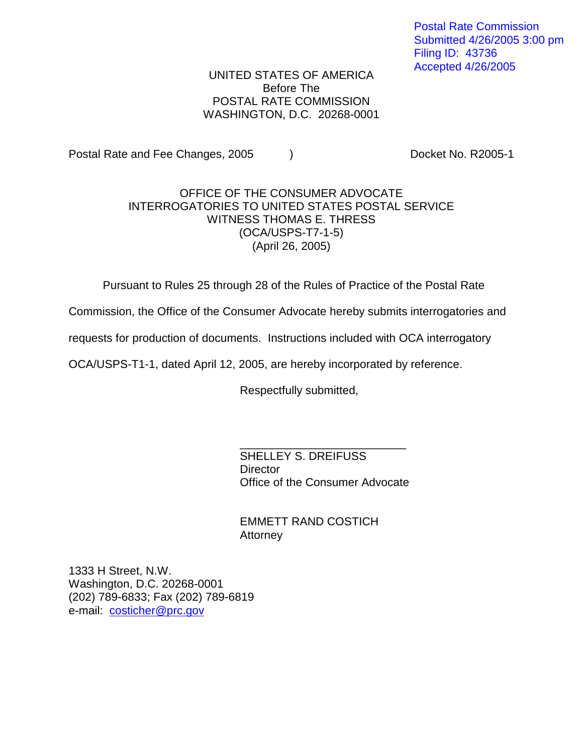Postal Rate Commission Submitted 4/26/2005 3:00 pm Filing ID: 43736 Accepted 4/26/2005

UNITED STATES OF AMERICA Before The POSTAL RATE COMMISSION WASHINGTON, D.C. 20268-0001

Postal Rate and Fee Changes, 2005 (a) The Cooket No. R2005-1

## OFFICE OF THE CONSUMER ADVOCATE INTERROGATORIES TO UNITED STATES POSTAL SERVICE WITNESS THOMAS E. THRESS (OCA/USPS-T7-1-5) (April 26, 2005)

Pursuant to Rules 25 through 28 of the Rules of Practice of the Postal Rate

Commission, the Office of the Consumer Advocate hereby submits interrogatories and

requests for production of documents. Instructions included with OCA interrogatory

OCA/USPS-T1-1, dated April 12, 2005, are hereby incorporated by reference.

Respectfully submitted,

SHELLEY S. DREIFUSS **Director** Office of the Consumer Advocate

\_\_\_\_\_\_\_\_\_\_\_\_\_\_\_\_\_\_\_\_\_\_\_\_\_\_

EMMETT RAND COSTICH Attorney

1333 H Street, N.W. Washington, D.C. 20268-0001 (202) 789-6833; Fax (202) 789-6819 e-mail: costicher@prc.gov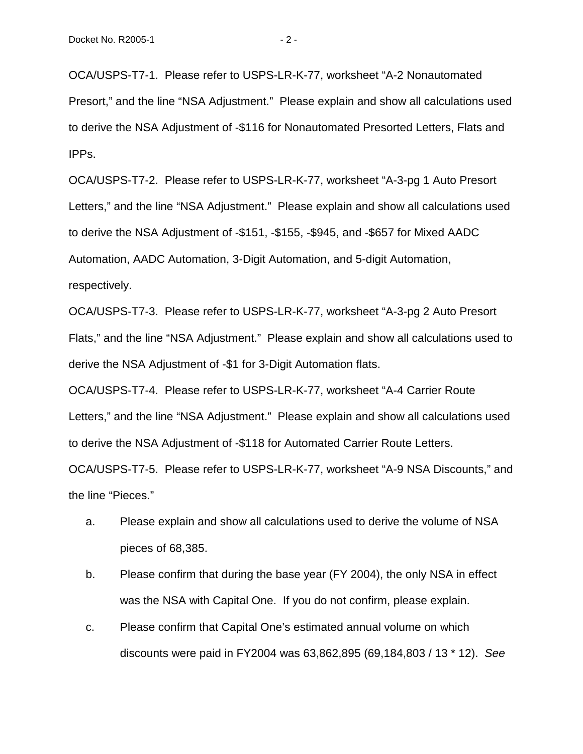OCA/USPS-T7-1. Please refer to USPS-LR-K-77, worksheet "A-2 Nonautomated Presort," and the line "NSA Adjustment." Please explain and show all calculations used to derive the NSA Adjustment of -\$116 for Nonautomated Presorted Letters, Flats and IPPs.

OCA/USPS-T7-2. Please refer to USPS-LR-K-77, worksheet "A-3-pg 1 Auto Presort Letters," and the line "NSA Adjustment." Please explain and show all calculations used to derive the NSA Adjustment of -\$151, -\$155, -\$945, and -\$657 for Mixed AADC Automation, AADC Automation, 3-Digit Automation, and 5-digit Automation, respectively.

OCA/USPS-T7-3. Please refer to USPS-LR-K-77, worksheet "A-3-pg 2 Auto Presort Flats," and the line "NSA Adjustment." Please explain and show all calculations used to derive the NSA Adjustment of -\$1 for 3-Digit Automation flats.

OCA/USPS-T7-4. Please refer to USPS-LR-K-77, worksheet "A-4 Carrier Route Letters," and the line "NSA Adjustment." Please explain and show all calculations used to derive the NSA Adjustment of -\$118 for Automated Carrier Route Letters.

OCA/USPS-T7-5. Please refer to USPS-LR-K-77, worksheet "A-9 NSA Discounts," and the line "Pieces."

- a. Please explain and show all calculations used to derive the volume of NSA pieces of 68,385.
- b. Please confirm that during the base year (FY 2004), the only NSA in effect was the NSA with Capital One. If you do not confirm, please explain.
- c. Please confirm that Capital One's estimated annual volume on which discounts were paid in FY2004 was 63,862,895 (69,184,803 / 13 \* 12). See